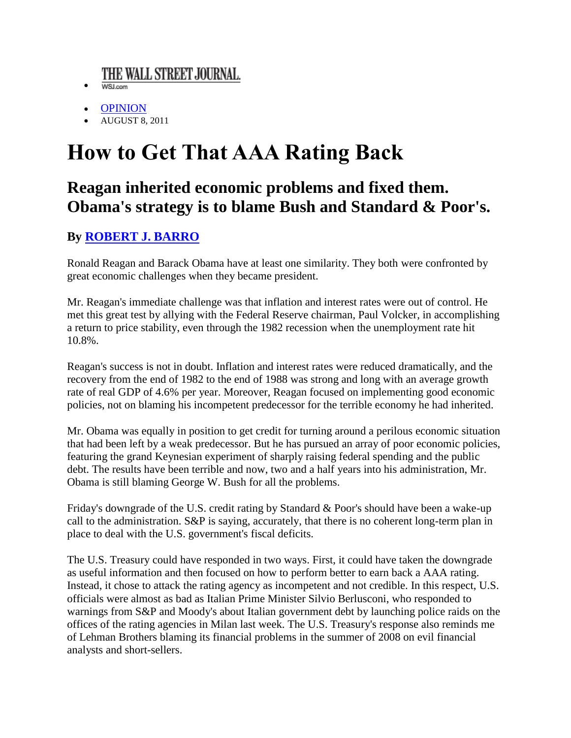## THE WALL STREET JOURNAL.

- $\bullet$ WSJ.com
- [OPINION](http://online.wsj.com/public/search?article-doc-type=%7BCommentary+%28U.S.%29%7D&HEADER_TEXT=commentary+%28u.s.)
- AUGUST 8, 2011

## **How to Get That AAA Rating Back**

## **Reagan inherited economic problems and fixed them. Obama's strategy is to blame Bush and Standard & Poor's.**

## **By [ROBERT J. BARRO](http://online.wsj.com/search/search_center.html?KEYWORDS=ROBERT+J.+BARRO&ARTICLESEARCHQUERY_PARSER=bylineAND)**

Ronald Reagan and Barack Obama have at least one similarity. They both were confronted by great economic challenges when they became president.

Mr. Reagan's immediate challenge was that inflation and interest rates were out of control. He met this great test by allying with the Federal Reserve chairman, Paul Volcker, in accomplishing a return to price stability, even through the 1982 recession when the unemployment rate hit 10.8%.

Reagan's success is not in doubt. Inflation and interest rates were reduced dramatically, and the recovery from the end of 1982 to the end of 1988 was strong and long with an average growth rate of real GDP of 4.6% per year. Moreover, Reagan focused on implementing good economic policies, not on blaming his incompetent predecessor for the terrible economy he had inherited.

Mr. Obama was equally in position to get credit for turning around a perilous economic situation that had been left by a weak predecessor. But he has pursued an array of poor economic policies, featuring the grand Keynesian experiment of sharply raising federal spending and the public debt. The results have been terrible and now, two and a half years into his administration, Mr. Obama is still blaming George W. Bush for all the problems.

Friday's downgrade of the U.S. credit rating by Standard & Poor's should have been a wake-up call to the administration.  $S\&P$  is saying, accurately, that there is no coherent long-term plan in place to deal with the U.S. government's fiscal deficits.

The U.S. Treasury could have responded in two ways. First, it could have taken the downgrade as useful information and then focused on how to perform better to earn back a AAA rating. Instead, it chose to attack the rating agency as incompetent and not credible. In this respect, U.S. officials were almost as bad as Italian Prime Minister Silvio Berlusconi, who responded to warnings from S&P and Moody's about Italian government debt by launching police raids on the offices of the rating agencies in Milan last week. The U.S. Treasury's response also reminds me of Lehman Brothers blaming its financial problems in the summer of 2008 on evil financial analysts and short-sellers.